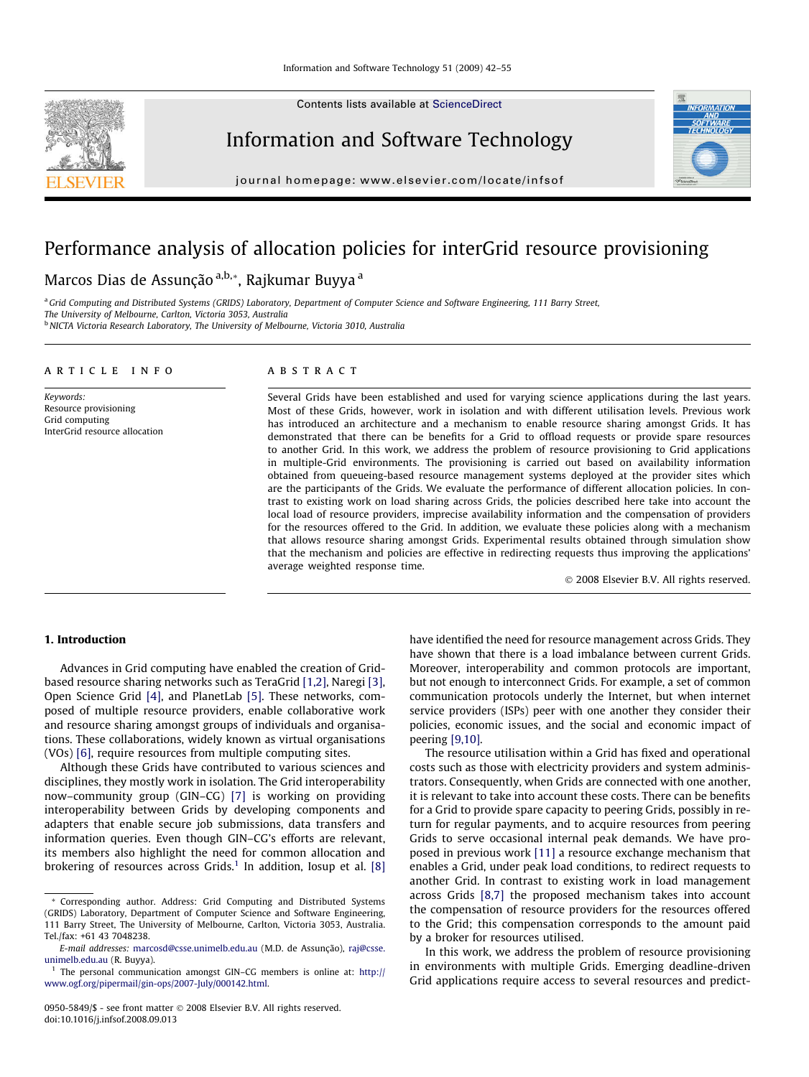Contents lists available at [ScienceDirect](http://www.sciencedirect.com/science/journal/09505849)



Information and Software Technology



# Performance analysis of allocation policies for interGrid resource provisioning

# Marcos Dias de Assunção a,b,\*, Rajkumar Buyya a

a Grid Computing and Distributed Systems (GRIDS) Laboratory, Department of Computer Science and Software Engineering, 111 Barry Street, The University of Melbourne, Carlton, Victoria 3053, Australia **b NICTA Victoria Research Laboratory, The University of Melbourne, Victoria 3010, Australia** 

#### article info

Keywords: Resource provisioning Grid computing InterGrid resource allocation

#### **ABSTRACT**

Several Grids have been established and used for varying science applications during the last years. Most of these Grids, however, work in isolation and with different utilisation levels. Previous work has introduced an architecture and a mechanism to enable resource sharing amongst Grids. It has demonstrated that there can be benefits for a Grid to offload requests or provide spare resources to another Grid. In this work, we address the problem of resource provisioning to Grid applications in multiple-Grid environments. The provisioning is carried out based on availability information obtained from queueing-based resource management systems deployed at the provider sites which are the participants of the Grids. We evaluate the performance of different allocation policies. In contrast to existing work on load sharing across Grids, the policies described here take into account the local load of resource providers, imprecise availability information and the compensation of providers for the resources offered to the Grid. In addition, we evaluate these policies along with a mechanism that allows resource sharing amongst Grids. Experimental results obtained through simulation show that the mechanism and policies are effective in redirecting requests thus improving the applications' average weighted response time.

© 2008 Elsevier B.V. All rights reserved.

# 1. Introduction

Advances in Grid computing have enabled the creation of Gridbased resource sharing networks such as TeraGrid [\[1,2\]](#page-12-0), Naregi [\[3\],](#page-12-0) Open Science Grid [\[4\],](#page-12-0) and PlanetLab [\[5\].](#page-12-0) These networks, composed of multiple resource providers, enable collaborative work and resource sharing amongst groups of individuals and organisations. These collaborations, widely known as virtual organisations (VOs) [\[6\]](#page-12-0), require resources from multiple computing sites.

Although these Grids have contributed to various sciences and disciplines, they mostly work in isolation. The Grid interoperability now–community group (GIN–CG) [\[7\]](#page-12-0) is working on providing interoperability between Grids by developing components and adapters that enable secure job submissions, data transfers and information queries. Even though GIN–CG's efforts are relevant, its members also highlight the need for common allocation and brokering of resources across Grids.<sup>1</sup> In addition, Iosup et al. [\[8\]](#page-12-0) have identified the need for resource management across Grids. They have shown that there is a load imbalance between current Grids. Moreover, interoperability and common protocols are important, but not enough to interconnect Grids. For example, a set of common communication protocols underly the Internet, but when internet service providers (ISPs) peer with one another they consider their policies, economic issues, and the social and economic impact of peering [\[9,10\].](#page-12-0)

The resource utilisation within a Grid has fixed and operational costs such as those with electricity providers and system administrators. Consequently, when Grids are connected with one another, it is relevant to take into account these costs. There can be benefits for a Grid to provide spare capacity to peering Grids, possibly in return for regular payments, and to acquire resources from peering Grids to serve occasional internal peak demands. We have proposed in previous work [\[11\]](#page-12-0) a resource exchange mechanism that enables a Grid, under peak load conditions, to redirect requests to another Grid. In contrast to existing work in load management across Grids [\[8,7\]](#page-12-0) the proposed mechanism takes into account the compensation of resource providers for the resources offered to the Grid; this compensation corresponds to the amount paid by a broker for resources utilised.

In this work, we address the problem of resource provisioning in environments with multiple Grids. Emerging deadline-driven Grid applications require access to several resources and predict-

<sup>\*</sup> Corresponding author. Address: Grid Computing and Distributed Systems (GRIDS) Laboratory, Department of Computer Science and Software Engineering, 111 Barry Street, The University of Melbourne, Carlton, Victoria 3053, Australia. Tel./fax: +61 43 7048238.

E-mail addresses: [marcosd@csse.unimelb.edu.au](mailto:marcosd@csse.unimelb.edu.au) (M.D. de Assunção), [raj@csse.](mailto:raj@csse. unimelb.edu.au) [unimelb.edu.au](mailto:raj@csse. unimelb.edu.au) (R. Buyya).

<sup>&</sup>lt;sup>1</sup> The personal communication amongst GIN-CG members is online at: [http://](http://www.ogf.org/pipermail/gin-ops/2007-July/000142.html) [www.ogf.org/pipermail/gin-ops/2007-July/000142.html.](http://www.ogf.org/pipermail/gin-ops/2007-July/000142.html)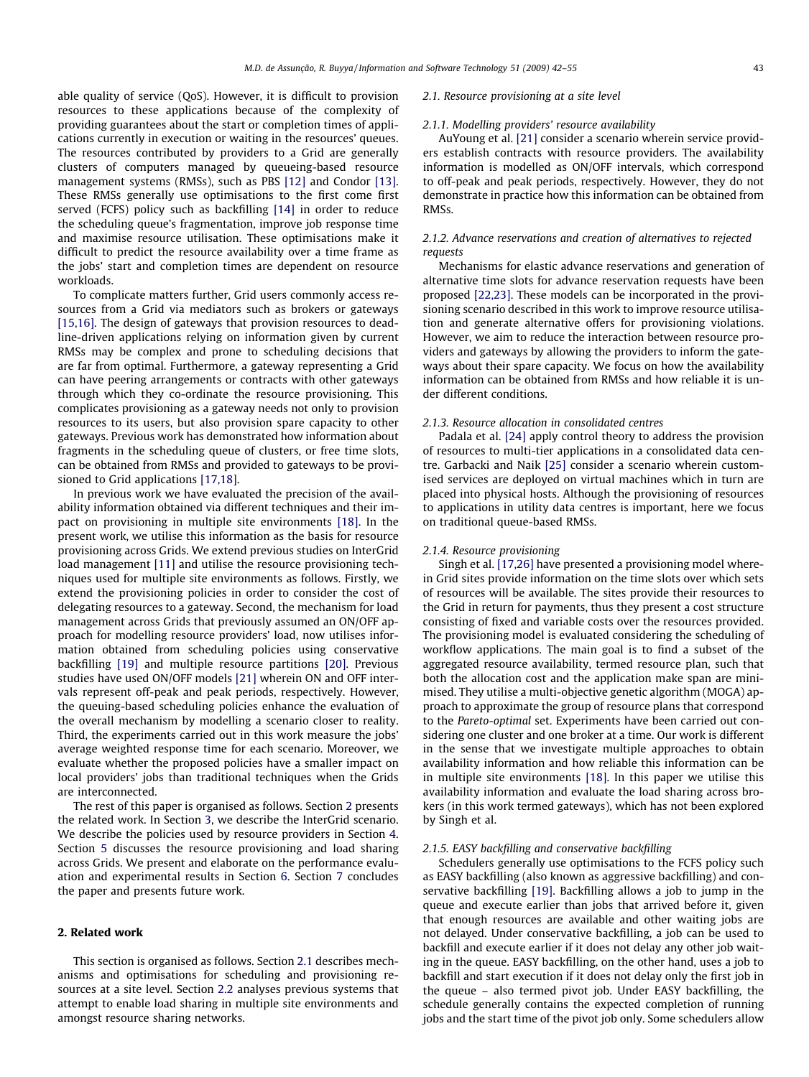able quality of service (QoS). However, it is difficult to provision resources to these applications because of the complexity of providing guarantees about the start or completion times of applications currently in execution or waiting in the resources' queues. The resources contributed by providers to a Grid are generally clusters of computers managed by queueing-based resource management systems (RMSs), such as PBS [\[12\]](#page-12-0) and Condor [\[13\].](#page-12-0) These RMSs generally use optimisations to the first come first served (FCFS) policy such as backfilling [\[14\]](#page-12-0) in order to reduce the scheduling queue's fragmentation, improve job response time and maximise resource utilisation. These optimisations make it difficult to predict the resource availability over a time frame as the jobs' start and completion times are dependent on resource workloads.

To complicate matters further, Grid users commonly access resources from a Grid via mediators such as brokers or gateways [\[15,16\]](#page-12-0). The design of gateways that provision resources to deadline-driven applications relying on information given by current RMSs may be complex and prone to scheduling decisions that are far from optimal. Furthermore, a gateway representing a Grid can have peering arrangements or contracts with other gateways through which they co-ordinate the resource provisioning. This complicates provisioning as a gateway needs not only to provision resources to its users, but also provision spare capacity to other gateways. Previous work has demonstrated how information about fragments in the scheduling queue of clusters, or free time slots, can be obtained from RMSs and provided to gateways to be provisioned to Grid applications [\[17,18\].](#page-12-0)

In previous work we have evaluated the precision of the availability information obtained via different techniques and their impact on provisioning in multiple site environments [\[18\].](#page-12-0) In the present work, we utilise this information as the basis for resource provisioning across Grids. We extend previous studies on InterGrid load management [\[11\]](#page-12-0) and utilise the resource provisioning techniques used for multiple site environments as follows. Firstly, we extend the provisioning policies in order to consider the cost of delegating resources to a gateway. Second, the mechanism for load management across Grids that previously assumed an ON/OFF approach for modelling resource providers' load, now utilises information obtained from scheduling policies using conservative backfilling [\[19\]](#page-12-0) and multiple resource partitions [\[20\].](#page-12-0) Previous studies have used ON/OFF models [\[21\]](#page-12-0) wherein ON and OFF intervals represent off-peak and peak periods, respectively. However, the queuing-based scheduling policies enhance the evaluation of the overall mechanism by modelling a scenario closer to reality. Third, the experiments carried out in this work measure the jobs' average weighted response time for each scenario. Moreover, we evaluate whether the proposed policies have a smaller impact on local providers' jobs than traditional techniques when the Grids are interconnected.

The rest of this paper is organised as follows. Section 2 presents the related work. In Section [3,](#page-2-0) we describe the InterGrid scenario. We describe the policies used by resource providers in Section [4.](#page-3-0) Section [5](#page-5-0) discusses the resource provisioning and load sharing across Grids. We present and elaborate on the performance evaluation and experimental results in Section [6.](#page-8-0) Section [7](#page-11-0) concludes the paper and presents future work.

## 2. Related work

This section is organised as follows. Section 2.1 describes mechanisms and optimisations for scheduling and provisioning resources at a site level. Section [2.2](#page-2-0) analyses previous systems that attempt to enable load sharing in multiple site environments and amongst resource sharing networks.

## 2.1. Resource provisioning at a site level

#### 2.1.1. Modelling providers' resource availability

AuYoung et al. [\[21\]](#page-12-0) consider a scenario wherein service providers establish contracts with resource providers. The availability information is modelled as ON/OFF intervals, which correspond to off-peak and peak periods, respectively. However, they do not demonstrate in practice how this information can be obtained from RMSs.

# 2.1.2. Advance reservations and creation of alternatives to rejected requests

Mechanisms for elastic advance reservations and generation of alternative time slots for advance reservation requests have been proposed [\[22,23\]](#page-12-0). These models can be incorporated in the provisioning scenario described in this work to improve resource utilisation and generate alternative offers for provisioning violations. However, we aim to reduce the interaction between resource providers and gateways by allowing the providers to inform the gateways about their spare capacity. We focus on how the availability information can be obtained from RMSs and how reliable it is under different conditions.

#### 2.1.3. Resource allocation in consolidated centres

Padala et al. [\[24\]](#page-12-0) apply control theory to address the provision of resources to multi-tier applications in a consolidated data centre. Garbacki and Naik [\[25\]](#page-12-0) consider a scenario wherein customised services are deployed on virtual machines which in turn are placed into physical hosts. Although the provisioning of resources to applications in utility data centres is important, here we focus on traditional queue-based RMSs.

# 2.1.4. Resource provisioning

Singh et al. [\[17,26\]](#page-12-0) have presented a provisioning model wherein Grid sites provide information on the time slots over which sets of resources will be available. The sites provide their resources to the Grid in return for payments, thus they present a cost structure consisting of fixed and variable costs over the resources provided. The provisioning model is evaluated considering the scheduling of workflow applications. The main goal is to find a subset of the aggregated resource availability, termed resource plan, such that both the allocation cost and the application make span are minimised. They utilise a multi-objective genetic algorithm (MOGA) approach to approximate the group of resource plans that correspond to the Pareto-optimal set. Experiments have been carried out considering one cluster and one broker at a time. Our work is different in the sense that we investigate multiple approaches to obtain availability information and how reliable this information can be in multiple site environments [\[18\].](#page-12-0) In this paper we utilise this availability information and evaluate the load sharing across brokers (in this work termed gateways), which has not been explored by Singh et al.

#### 2.1.5. EASY backfilling and conservative backfilling

Schedulers generally use optimisations to the FCFS policy such as EASY backfilling (also known as aggressive backfilling) and conservative backfilling [\[19\]](#page-12-0). Backfilling allows a job to jump in the queue and execute earlier than jobs that arrived before it, given that enough resources are available and other waiting jobs are not delayed. Under conservative backfilling, a job can be used to backfill and execute earlier if it does not delay any other job waiting in the queue. EASY backfilling, on the other hand, uses a job to backfill and start execution if it does not delay only the first job in the queue – also termed pivot job. Under EASY backfilling, the schedule generally contains the expected completion of running jobs and the start time of the pivot job only. Some schedulers allow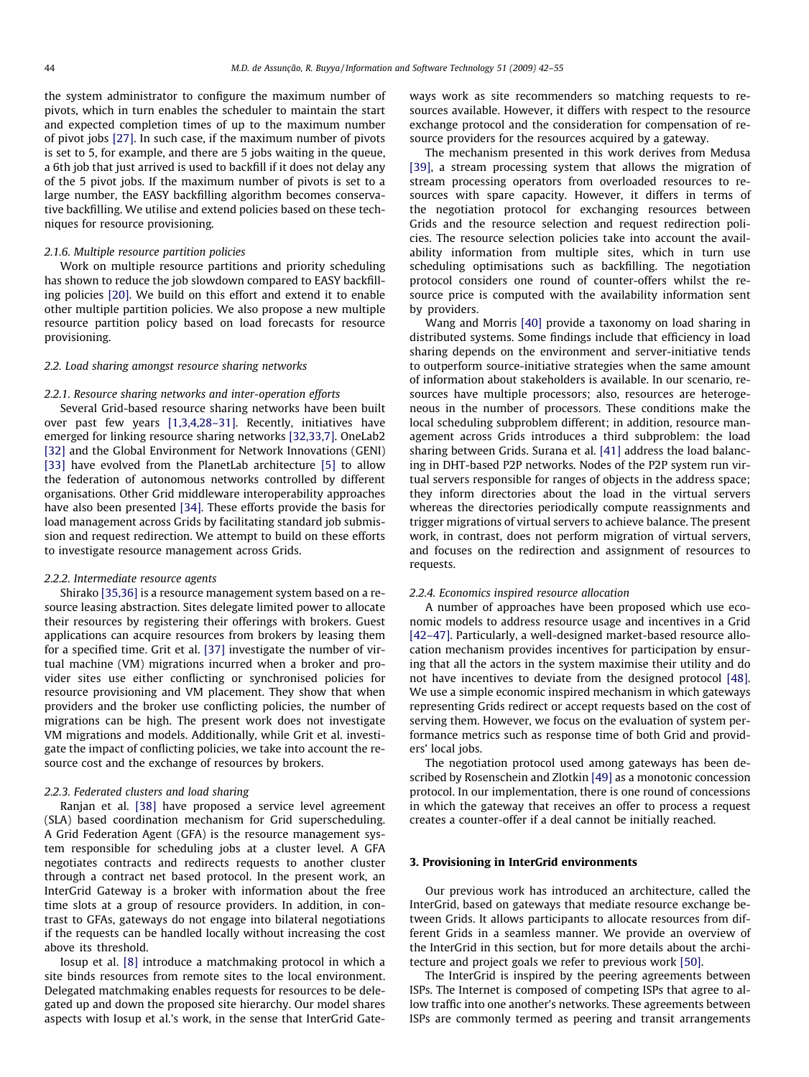<span id="page-2-0"></span>the system administrator to configure the maximum number of pivots, which in turn enables the scheduler to maintain the start and expected completion times of up to the maximum number of pivot jobs [\[27\]](#page-12-0). In such case, if the maximum number of pivots is set to 5, for example, and there are 5 jobs waiting in the queue, a 6th job that just arrived is used to backfill if it does not delay any of the 5 pivot jobs. If the maximum number of pivots is set to a large number, the EASY backfilling algorithm becomes conservative backfilling. We utilise and extend policies based on these techniques for resource provisioning.

## 2.1.6. Multiple resource partition policies

Work on multiple resource partitions and priority scheduling has shown to reduce the job slowdown compared to EASY backfilling policies [\[20\]](#page-12-0). We build on this effort and extend it to enable other multiple partition policies. We also propose a new multiple resource partition policy based on load forecasts for resource provisioning.

# 2.2. Load sharing amongst resource sharing networks

#### 2.2.1. Resource sharing networks and inter-operation efforts

Several Grid-based resource sharing networks have been built over past few years [\[1,3,4,28–31\].](#page-12-0) Recently, initiatives have emerged for linking resource sharing networks [\[32,33,7\]](#page-12-0). OneLab2 [\[32\]](#page-12-0) and the Global Environment for Network Innovations (GENI) [\[33\]](#page-12-0) have evolved from the PlanetLab architecture [\[5\]](#page-12-0) to allow the federation of autonomous networks controlled by different organisations. Other Grid middleware interoperability approaches have also been presented [\[34\]](#page-12-0). These efforts provide the basis for load management across Grids by facilitating standard job submission and request redirection. We attempt to build on these efforts to investigate resource management across Grids.

#### 2.2.2. Intermediate resource agents

Shirako [\[35,36\]](#page-12-0) is a resource management system based on a resource leasing abstraction. Sites delegate limited power to allocate their resources by registering their offerings with brokers. Guest applications can acquire resources from brokers by leasing them for a specified time. Grit et al. [\[37\]](#page-12-0) investigate the number of virtual machine (VM) migrations incurred when a broker and provider sites use either conflicting or synchronised policies for resource provisioning and VM placement. They show that when providers and the broker use conflicting policies, the number of migrations can be high. The present work does not investigate VM migrations and models. Additionally, while Grit et al. investigate the impact of conflicting policies, we take into account the resource cost and the exchange of resources by brokers.

#### 2.2.3. Federated clusters and load sharing

Ranjan et al. [\[38\]](#page-12-0) have proposed a service level agreement (SLA) based coordination mechanism for Grid superscheduling. A Grid Federation Agent (GFA) is the resource management system responsible for scheduling jobs at a cluster level. A GFA negotiates contracts and redirects requests to another cluster through a contract net based protocol. In the present work, an InterGrid Gateway is a broker with information about the free time slots at a group of resource providers. In addition, in contrast to GFAs, gateways do not engage into bilateral negotiations if the requests can be handled locally without increasing the cost above its threshold.

Iosup et al. [\[8\]](#page-12-0) introduce a matchmaking protocol in which a site binds resources from remote sites to the local environment. Delegated matchmaking enables requests for resources to be delegated up and down the proposed site hierarchy. Our model shares aspects with Iosup et al.'s work, in the sense that InterGrid Gateways work as site recommenders so matching requests to resources available. However, it differs with respect to the resource exchange protocol and the consideration for compensation of resource providers for the resources acquired by a gateway.

The mechanism presented in this work derives from Medusa [\[39\]](#page-12-0), a stream processing system that allows the migration of stream processing operators from overloaded resources to resources with spare capacity. However, it differs in terms of the negotiation protocol for exchanging resources between Grids and the resource selection and request redirection policies. The resource selection policies take into account the availability information from multiple sites, which in turn use scheduling optimisations such as backfilling. The negotiation protocol considers one round of counter-offers whilst the resource price is computed with the availability information sent by providers.

Wang and Morris [\[40\]](#page-12-0) provide a taxonomy on load sharing in distributed systems. Some findings include that efficiency in load sharing depends on the environment and server-initiative tends to outperform source-initiative strategies when the same amount of information about stakeholders is available. In our scenario, resources have multiple processors; also, resources are heterogeneous in the number of processors. These conditions make the local scheduling subproblem different; in addition, resource management across Grids introduces a third subproblem: the load sharing between Grids. Surana et al. [\[41\]](#page-12-0) address the load balancing in DHT-based P2P networks. Nodes of the P2P system run virtual servers responsible for ranges of objects in the address space; they inform directories about the load in the virtual servers whereas the directories periodically compute reassignments and trigger migrations of virtual servers to achieve balance. The present work, in contrast, does not perform migration of virtual servers, and focuses on the redirection and assignment of resources to requests.

#### 2.2.4. Economics inspired resource allocation

A number of approaches have been proposed which use economic models to address resource usage and incentives in a Grid [\[42–47\]](#page-12-0). Particularly, a well-designed market-based resource allocation mechanism provides incentives for participation by ensuring that all the actors in the system maximise their utility and do not have incentives to deviate from the designed protocol [\[48\].](#page-13-0) We use a simple economic inspired mechanism in which gateways representing Grids redirect or accept requests based on the cost of serving them. However, we focus on the evaluation of system performance metrics such as response time of both Grid and providers' local jobs.

The negotiation protocol used among gateways has been described by Rosenschein and Zlotkin [\[49\]](#page-13-0) as a monotonic concession protocol. In our implementation, there is one round of concessions in which the gateway that receives an offer to process a request creates a counter-offer if a deal cannot be initially reached.

#### 3. Provisioning in InterGrid environments

Our previous work has introduced an architecture, called the InterGrid, based on gateways that mediate resource exchange between Grids. It allows participants to allocate resources from different Grids in a seamless manner. We provide an overview of the InterGrid in this section, but for more details about the architecture and project goals we refer to previous work [\[50\]](#page-13-0).

The InterGrid is inspired by the peering agreements between ISPs. The Internet is composed of competing ISPs that agree to allow traffic into one another's networks. These agreements between ISPs are commonly termed as peering and transit arrangements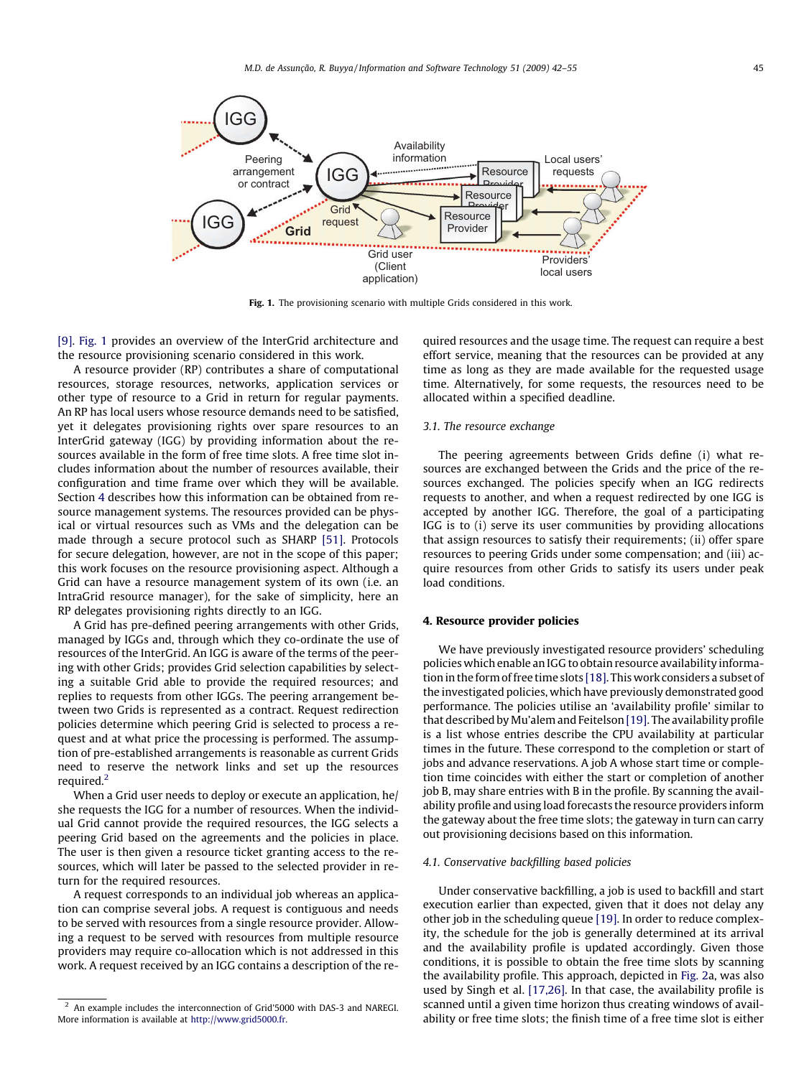<span id="page-3-0"></span>

Fig. 1. The provisioning scenario with multiple Grids considered in this work.

[\[9\]](#page-12-0). Fig. 1 provides an overview of the InterGrid architecture and the resource provisioning scenario considered in this work.

A resource provider (RP) contributes a share of computational resources, storage resources, networks, application services or other type of resource to a Grid in return for regular payments. An RP has local users whose resource demands need to be satisfied, yet it delegates provisioning rights over spare resources to an InterGrid gateway (IGG) by providing information about the resources available in the form of free time slots. A free time slot includes information about the number of resources available, their configuration and time frame over which they will be available. Section 4 describes how this information can be obtained from resource management systems. The resources provided can be physical or virtual resources such as VMs and the delegation can be made through a secure protocol such as SHARP [\[51\].](#page-13-0) Protocols for secure delegation, however, are not in the scope of this paper; this work focuses on the resource provisioning aspect. Although a Grid can have a resource management system of its own (i.e. an IntraGrid resource manager), for the sake of simplicity, here an RP delegates provisioning rights directly to an IGG.

A Grid has pre-defined peering arrangements with other Grids, managed by IGGs and, through which they co-ordinate the use of resources of the InterGrid. An IGG is aware of the terms of the peering with other Grids; provides Grid selection capabilities by selecting a suitable Grid able to provide the required resources; and replies to requests from other IGGs. The peering arrangement between two Grids is represented as a contract. Request redirection policies determine which peering Grid is selected to process a request and at what price the processing is performed. The assumption of pre-established arrangements is reasonable as current Grids need to reserve the network links and set up the resources required.<sup>2</sup>

When a Grid user needs to deploy or execute an application, he/ she requests the IGG for a number of resources. When the individual Grid cannot provide the required resources, the IGG selects a peering Grid based on the agreements and the policies in place. The user is then given a resource ticket granting access to the resources, which will later be passed to the selected provider in return for the required resources.

A request corresponds to an individual job whereas an application can comprise several jobs. A request is contiguous and needs to be served with resources from a single resource provider. Allowing a request to be served with resources from multiple resource providers may require co-allocation which is not addressed in this work. A request received by an IGG contains a description of the required resources and the usage time. The request can require a best effort service, meaning that the resources can be provided at any time as long as they are made available for the requested usage time. Alternatively, for some requests, the resources need to be allocated within a specified deadline.

# 3.1. The resource exchange

The peering agreements between Grids define (i) what resources are exchanged between the Grids and the price of the resources exchanged. The policies specify when an IGG redirects requests to another, and when a request redirected by one IGG is accepted by another IGG. Therefore, the goal of a participating IGG is to (i) serve its user communities by providing allocations that assign resources to satisfy their requirements; (ii) offer spare resources to peering Grids under some compensation; and (iii) acquire resources from other Grids to satisfy its users under peak load conditions.

#### 4. Resource provider policies

We have previously investigated resource providers' scheduling policies which enable an IGG to obtain resource availability information in the form of free time slots [\[18\].](#page-12-0) This work considers a subset of the investigated policies, which have previously demonstrated good performance. The policies utilise an 'availability profile' similar to that described byMu'alem and Feitelson [\[19\].](#page-12-0) The availability profile is a list whose entries describe the CPU availability at particular times in the future. These correspond to the completion or start of jobs and advance reservations. A job A whose start time or completion time coincides with either the start or completion of another job B, may share entries with B in the profile. By scanning the availability profile and using load forecasts the resource providers inform the gateway about the free time slots; the gateway in turn can carry out provisioning decisions based on this information.

## 4.1. Conservative backfilling based policies

Under conservative backfilling, a job is used to backfill and start execution earlier than expected, given that it does not delay any other job in the scheduling queue [\[19\]](#page-12-0). In order to reduce complexity, the schedule for the job is generally determined at its arrival and the availability profile is updated accordingly. Given those conditions, it is possible to obtain the free time slots by scanning the availability profile. This approach, depicted in [Fig. 2a](#page-4-0), was also used by Singh et al. [\[17,26\].](#page-12-0) In that case, the availability profile is scanned until a given time horizon thus creating windows of availability or free time slots; the finish time of a free time slot is either

<sup>2</sup> An example includes the interconnection of Grid'5000 with DAS-3 and NAREGI. More information is available at <http://www.grid5000.fr>.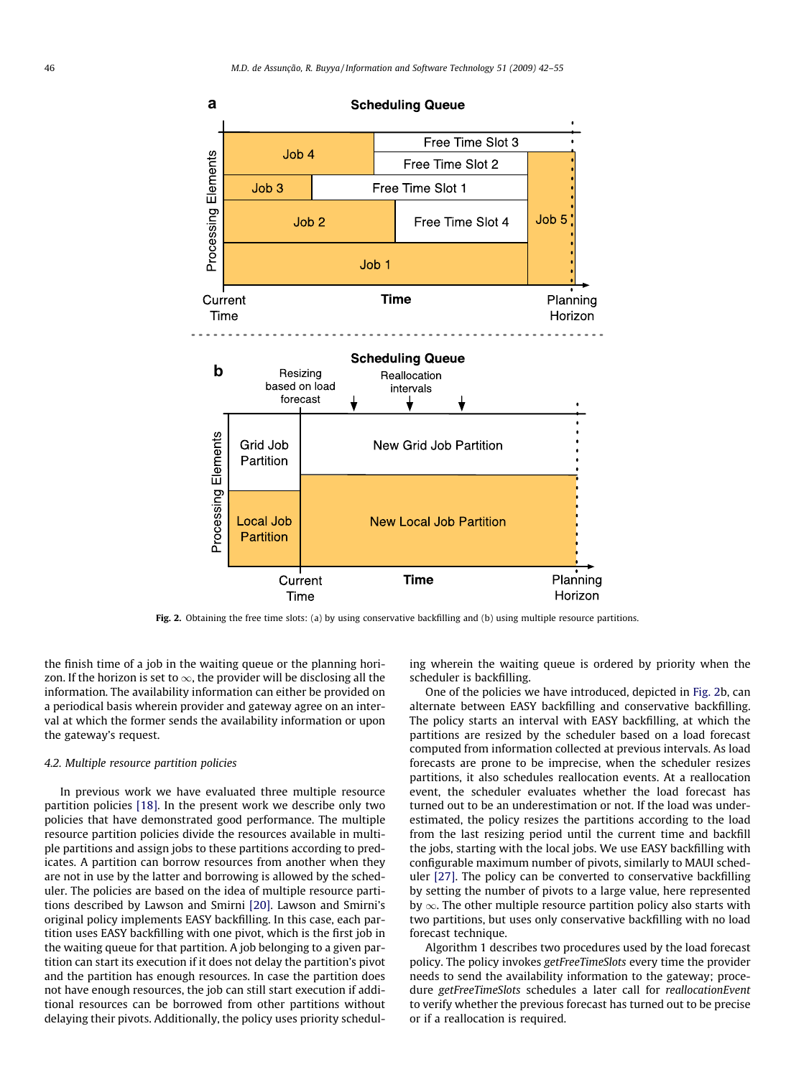<span id="page-4-0"></span>

Fig. 2. Obtaining the free time slots: (a) by using conservative backfilling and (b) using multiple resource partitions.

the finish time of a job in the waiting queue or the planning horizon. If the horizon is set to  $\infty$ , the provider will be disclosing all the information. The availability information can either be provided on a periodical basis wherein provider and gateway agree on an interval at which the former sends the availability information or upon the gateway's request.

#### 4.2. Multiple resource partition policies

In previous work we have evaluated three multiple resource partition policies [\[18\].](#page-12-0) In the present work we describe only two policies that have demonstrated good performance. The multiple resource partition policies divide the resources available in multiple partitions and assign jobs to these partitions according to predicates. A partition can borrow resources from another when they are not in use by the latter and borrowing is allowed by the scheduler. The policies are based on the idea of multiple resource partitions described by Lawson and Smirni [\[20\]](#page-12-0). Lawson and Smirni's original policy implements EASY backfilling. In this case, each partition uses EASY backfilling with one pivot, which is the first job in the waiting queue for that partition. A job belonging to a given partition can start its execution if it does not delay the partition's pivot and the partition has enough resources. In case the partition does not have enough resources, the job can still start execution if additional resources can be borrowed from other partitions without delaying their pivots. Additionally, the policy uses priority scheduling wherein the waiting queue is ordered by priority when the scheduler is backfilling.

One of the policies we have introduced, depicted in Fig. 2b, can alternate between EASY backfilling and conservative backfilling. The policy starts an interval with EASY backfilling, at which the partitions are resized by the scheduler based on a load forecast computed from information collected at previous intervals. As load forecasts are prone to be imprecise, when the scheduler resizes partitions, it also schedules reallocation events. At a reallocation event, the scheduler evaluates whether the load forecast has turned out to be an underestimation or not. If the load was underestimated, the policy resizes the partitions according to the load from the last resizing period until the current time and backfill the jobs, starting with the local jobs. We use EASY backfilling with configurable maximum number of pivots, similarly to MAUI scheduler [\[27\]](#page-12-0). The policy can be converted to conservative backfilling by setting the number of pivots to a large value, here represented by  $\infty$ . The other multiple resource partition policy also starts with two partitions, but uses only conservative backfilling with no load forecast technique.

Algorithm 1 describes two procedures used by the load forecast policy. The policy invokes getFreeTimeSlots every time the provider needs to send the availability information to the gateway; procedure getFreeTimeSlots schedules a later call for reallocationEvent to verify whether the previous forecast has turned out to be precise or if a reallocation is required.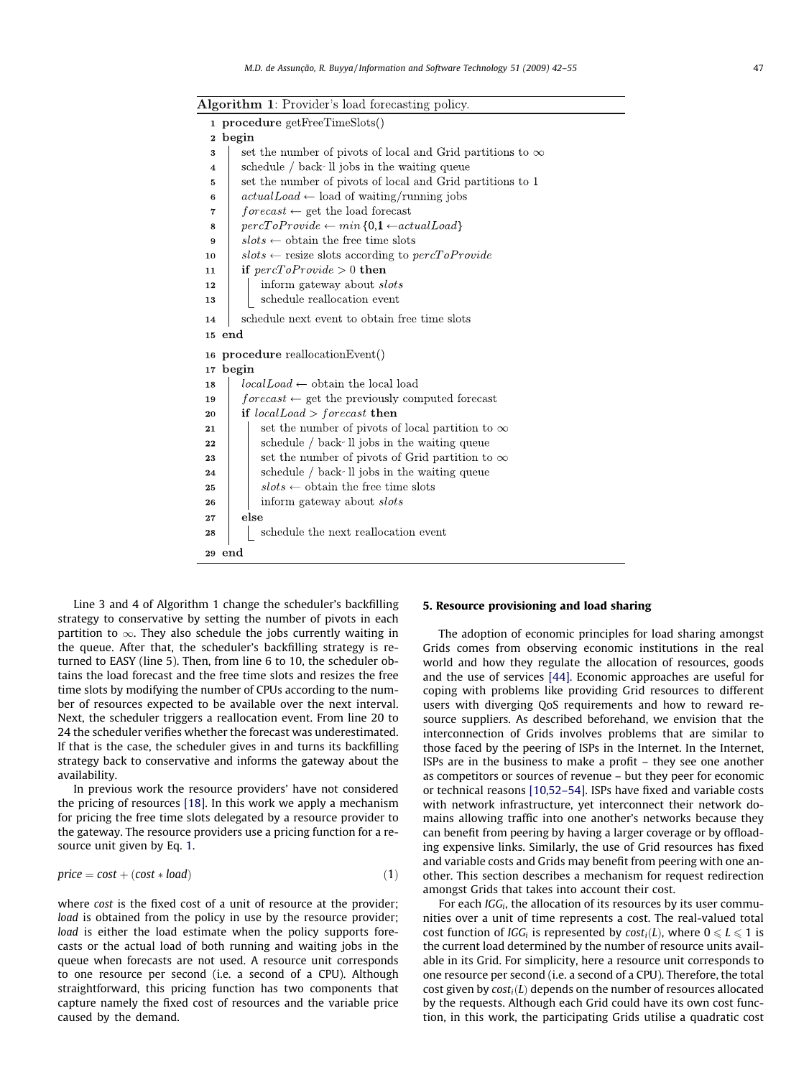<span id="page-5-0"></span>

|                         | Algorithm 1: Provider's load forecasting policy.                  |
|-------------------------|-------------------------------------------------------------------|
|                         | 1 procedure getFreeTimeSlots()                                    |
| $\overline{\mathbf{2}}$ | begin                                                             |
| 3                       | set the number of pivots of local and Grid partitions to $\infty$ |
| $\overline{\bf 4}$      | schedule / back-ll jobs in the waiting queue                      |
| 5                       | set the number of pivots of local and Grid partitions to 1        |
| 6                       | $actualLoad \leftarrow load$ of waiting/running jobs              |
| 7                       | $forecast \leftarrow get$ the load forecast                       |
| 8                       | $percToProvide \leftarrow min\{0,1 \leftarrow actualLoad\}$       |
| 9                       | $slots \leftarrow \text{obtain the free time slots}$              |
| 10                      | $slots \leftarrow$ resize slots according to $percToProvide$      |
| 11                      | if $percToProvide > 0$ then                                       |
| 12                      | inform gateway about <i>slots</i>                                 |
| 13                      | schedule reallocation event                                       |
| 14                      | schedule next event to obtain free time slots                     |
|                         | 15 end                                                            |
|                         | 16 procedure reallocationEvent()                                  |
| 17                      | begin                                                             |
| 18                      | $localLoad \leftarrow obtain the local load$                      |
| 19                      | $forecast \leftarrow$ get the previously computed forecast        |
| 20                      | if $localLoad > forecast$ then                                    |
| 21                      | set the number of pivots of local partition to $\infty$           |
| 22                      | schedule / back-ll jobs in the waiting queue                      |
| 23                      | set the number of pivots of Grid partition to $\infty$            |
| 24                      | schedule / back-ll jobs in the waiting queue                      |
| 25                      | $slosts \leftarrow$ obtain the free time slots                    |
| 26                      | inform gateway about <i>slots</i>                                 |
| 27                      | else                                                              |
| 28                      | schedule the next reallocation event                              |
|                         | 29 end                                                            |

Line 3 and 4 of Algorithm 1 change the scheduler's backfilling strategy to conservative by setting the number of pivots in each partition to  $\infty$ . They also schedule the jobs currently waiting in the queue. After that, the scheduler's backfilling strategy is returned to EASY (line 5). Then, from line 6 to 10, the scheduler obtains the load forecast and the free time slots and resizes the free time slots by modifying the number of CPUs according to the number of resources expected to be available over the next interval. Next, the scheduler triggers a reallocation event. From line 20 to 24 the scheduler verifies whether the forecast was underestimated. If that is the case, the scheduler gives in and turns its backfilling strategy back to conservative and informs the gateway about the availability.

In previous work the resource providers' have not considered the pricing of resources [\[18\]](#page-12-0). In this work we apply a mechanism for pricing the free time slots delegated by a resource provider to the gateway. The resource providers use a pricing function for a resource unit given by Eq. 1.

$$
price = cost + (cost * load)
$$
\n(1)

where cost is the fixed cost of a unit of resource at the provider; load is obtained from the policy in use by the resource provider; load is either the load estimate when the policy supports forecasts or the actual load of both running and waiting jobs in the queue when forecasts are not used. A resource unit corresponds to one resource per second (i.e. a second of a CPU). Although straightforward, this pricing function has two components that capture namely the fixed cost of resources and the variable price caused by the demand.

## 5. Resource provisioning and load sharing

The adoption of economic principles for load sharing amongst Grids comes from observing economic institutions in the real world and how they regulate the allocation of resources, goods and the use of services [\[44\].](#page-13-0) Economic approaches are useful for coping with problems like providing Grid resources to different users with diverging QoS requirements and how to reward resource suppliers. As described beforehand, we envision that the interconnection of Grids involves problems that are similar to those faced by the peering of ISPs in the Internet. In the Internet, ISPs are in the business to make a profit – they see one another as competitors or sources of revenue – but they peer for economic or technical reasons [\[10,52–54\].](#page-12-0) ISPs have fixed and variable costs with network infrastructure, yet interconnect their network domains allowing traffic into one another's networks because they can benefit from peering by having a larger coverage or by offloading expensive links. Similarly, the use of Grid resources has fixed and variable costs and Grids may benefit from peering with one another. This section describes a mechanism for request redirection amongst Grids that takes into account their cost.

For each  $IGG_i$ , the allocation of its resources by its user communities over a unit of time represents a cost. The real-valued total cost function of *IGG<sub>i</sub>* is represented by  $cost_i(L)$ , where  $0 \le L \le 1$  is the current load determined by the number of resource units available in its Grid. For simplicity, here a resource unit corresponds to one resource per second (i.e. a second of a CPU). Therefore, the total cost given by  $cost_i(L)$  depends on the number of resources allocated by the requests. Although each Grid could have its own cost function, in this work, the participating Grids utilise a quadratic cost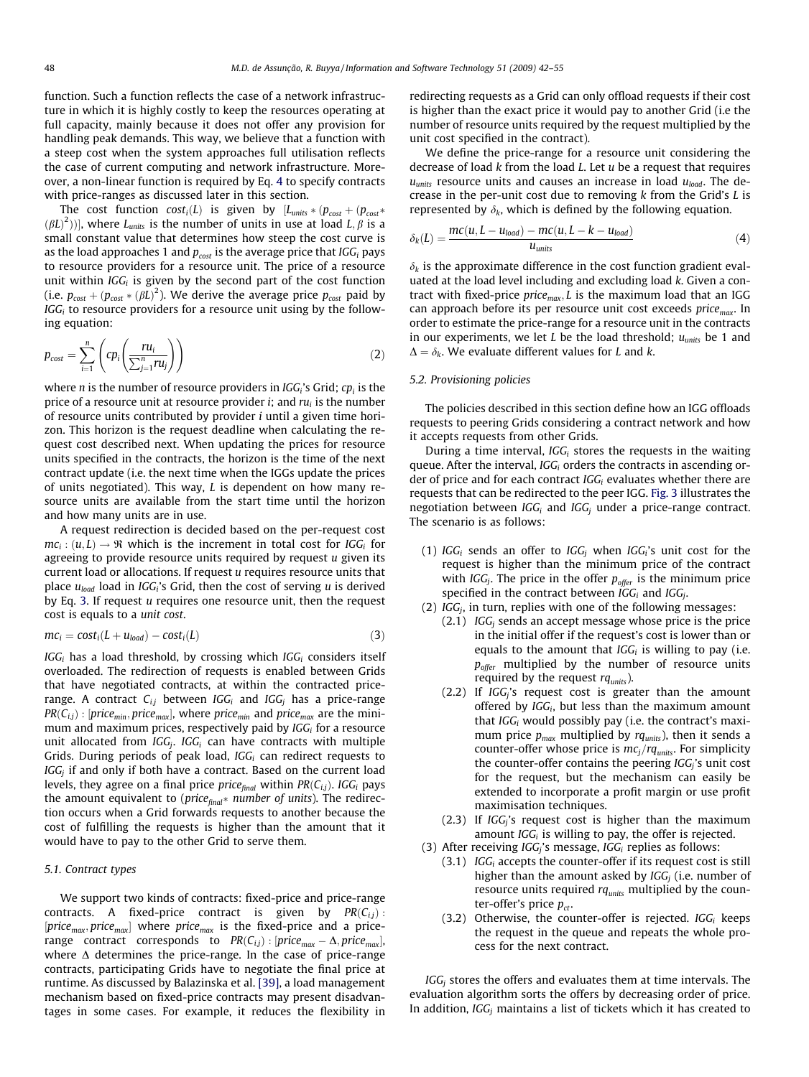<span id="page-6-0"></span>function. Such a function reflects the case of a network infrastructure in which it is highly costly to keep the resources operating at full capacity, mainly because it does not offer any provision for handling peak demands. This way, we believe that a function with a steep cost when the system approaches full utilisation reflects the case of current computing and network infrastructure. Moreover, a non-linear function is required by Eq. 4 to specify contracts with price-ranges as discussed later in this section.

The cost function  $cost_i(L)$  is given by  $[L_{units} * (p_{cost} + (p_{cost} *$  $(\beta L)^2$ ))], where  $L_{units}$  is the number of units in use at load  $L, \beta$  is a small constant value that determines how steep the cost curve is as the load approaches 1 and  $p_{cost}$  is the average price that IGG<sub>i</sub> pays to resource providers for a resource unit. The price of a resource unit within  $IGG_i$  is given by the second part of the cost function (i.e.  $p_{cost} + (p_{cost} * (\beta L)^2)$ . We derive the average price  $p_{cost}$  paid by  $IGG_i$  to resource providers for a resource unit using by the following equation:

$$
p_{cost} = \sum_{i=1}^{n} \left( cp_i \left( \frac{ru_i}{\sum_{j=1}^{n} ru_j} \right) \right)
$$
 (2)

where *n* is the number of resource providers in  $IGG_i$ 's Grid;  $cp_i$  is the price of a resource unit at resource provider *i*; and  $ru_i$  is the number of resource units contributed by provider i until a given time horizon. This horizon is the request deadline when calculating the request cost described next. When updating the prices for resource units specified in the contracts, the horizon is the time of the next contract update (i.e. the next time when the IGGs update the prices of units negotiated). This way, L is dependent on how many resource units are available from the start time until the horizon and how many units are in use.

A request redirection is decided based on the per-request cost  $mc_i$ :  $(u, L) \rightarrow \Re$  which is the increment in total cost for *IGG<sub>i</sub>* for agreeing to provide resource units required by request  $u$  given its current load or allocations. If request u requires resource units that place  $u_{load}$  load in IGG<sub>i</sub>'s Grid, then the cost of serving u is derived by Eq. 3. If request u requires one resource unit, then the request cost is equals to a unit cost.

$$
mc_i = cost_i(L + u_{load}) - cost_i(L) \tag{3}
$$

 $IGG_i$  has a load threshold, by crossing which  $IGG_i$  considers itself overloaded. The redirection of requests is enabled between Grids that have negotiated contracts, at within the contracted pricerange. A contract  $C_{i,j}$  between IGG<sub>i</sub> and IGG<sub>i</sub> has a price-range  $PR(C_{ij})$  : [price<sub>min</sub>, price<sub>max</sub>], where price<sub>min</sub> and price<sub>max</sub> are the minimum and maximum prices, respectively paid by  $IGG_i$  for a resource unit allocated from  $IGG_i$ . IGG<sub>i</sub> can have contracts with multiple Grids. During periods of peak load,  $IGG_i$  can redirect requests to  $IGG_i$  if and only if both have a contract. Based on the current load levels, they agree on a final price price<sub>final</sub> within  $PR(C_{i,j})$ . IGG<sub>i</sub> pays the amount equivalent to (*price<sub>final</sub>\* number of units*). The redirection occurs when a Grid forwards requests to another because the cost of fulfilling the requests is higher than the amount that it would have to pay to the other Grid to serve them.

## 5.1. Contract types

We support two kinds of contracts: fixed-price and price-range contracts. A fixed-price contract is given by  $PR(C_{i,j})$ : [ $price_{max}$ ,  $price_{max}$ ] where  $price_{max}$  is the fixed-price and a pricerange contract corresponds to  $PR(C_{ij})$ : [price<sub>max</sub> -  $\Delta$ , price<sub>max</sub>], where  $\Delta$  determines the price-range. In the case of price-range contracts, participating Grids have to negotiate the final price at runtime. As discussed by Balazinska et al. [\[39\],](#page-12-0) a load management mechanism based on fixed-price contracts may present disadvantages in some cases. For example, it reduces the flexibility in redirecting requests as a Grid can only offload requests if their cost is higher than the exact price it would pay to another Grid (i.e the number of resource units required by the request multiplied by the unit cost specified in the contract).

We define the price-range for a resource unit considering the decrease of load  $k$  from the load  $L$ . Let  $u$  be a request that requires  $u<sub>units</sub>$  resource units and causes an increase in load  $u<sub>load</sub>$ . The decrease in the per-unit cost due to removing  $k$  from the Grid's  $L$  is represented by  $\delta_k$ , which is defined by the following equation.

$$
\delta_k(L) = \frac{mc(u, L - u_{load}) - mc(u, L - k - u_{load})}{u_{units}} \tag{4}
$$

 $\delta_k$  is the approximate difference in the cost function gradient evaluated at the load level including and excluding load k. Given a contract with fixed-price  $price_{max}$ , L is the maximum load that an IGG can approach before its per resource unit cost exceeds  $price_{max}$ . In order to estimate the price-range for a resource unit in the contracts in our experiments, we let L be the load threshold;  $u_{units}$  be 1 and  $\Delta = \delta_k$ . We evaluate different values for L and k.

### 5.2. Provisioning policies

The policies described in this section define how an IGG offloads requests to peering Grids considering a contract network and how it accepts requests from other Grids.

During a time interval,  $IGG_i$  stores the requests in the waiting queue. After the interval,  $IGG_i$  orders the contracts in ascending order of price and for each contract  $IGG_i$  evaluates whether there are requests that can be redirected to the peer IGG. [Fig. 3](#page-7-0) illustrates the negotiation between  $IGG_i$  and  $IGG_j$  under a price-range contract. The scenario is as follows:

- (1)  $IGG_i$  sends an offer to  $IGG_j$  when  $IGG_i$ 's unit cost for the request is higher than the minimum price of the contract with  $IGG_j$ . The price in the offer  $p_{\text{offer}}$  is the minimum price specified in the contract between  $IGG_i$  and  $IGG_j$ .
- (2)  $IGG_i$ , in turn, replies with one of the following messages:
	- $(2.1)$  IGG<sub>i</sub> sends an accept message whose price is the price in the initial offer if the request's cost is lower than or equals to the amount that  $IGG_i$  is willing to pay (i.e.  $p_{\text{offer}}$  multiplied by the number of resource units required by the request  $rq_{units}$ ).
	- $(2.2)$  If IGG<sub>i</sub>'s request cost is greater than the amount offered by  $IGG_i$ , but less than the maximum amount that  $IGG_i$  would possibly pay (i.e. the contract's maximum price  $p_{max}$  multiplied by  $rq_{units}$ ), then it sends a counter-offer whose price is  $mc_j/rq_{units}$ . For simplicity the counter-offer contains the peering  $IGG_i$ 's unit cost for the request, but the mechanism can easily be extended to incorporate a profit margin or use profit maximisation techniques.
	- (2.3) If  $IGG_i$ 's request cost is higher than the maximum amount  $IGG_i$  is willing to pay, the offer is rejected.
- (3) After receiving  $IGG_j$ 's message,  $IGG_i$  replies as follows:
	- $(3.1)$  IGG<sub>i</sub> accepts the counter-offer if its request cost is still higher than the amount asked by  $IGG_i$  (i.e. number of resource units required  $rq_{units}$  multiplied by the counter-offer's price  $p_{ct}$ .
	- $(3.2)$  Otherwise, the counter-offer is rejected. IGG<sub>i</sub> keeps the request in the queue and repeats the whole process for the next contract.

 $IGG_i$  stores the offers and evaluates them at time intervals. The evaluation algorithm sorts the offers by decreasing order of price. In addition,  $IGG_j$  maintains a list of tickets which it has created to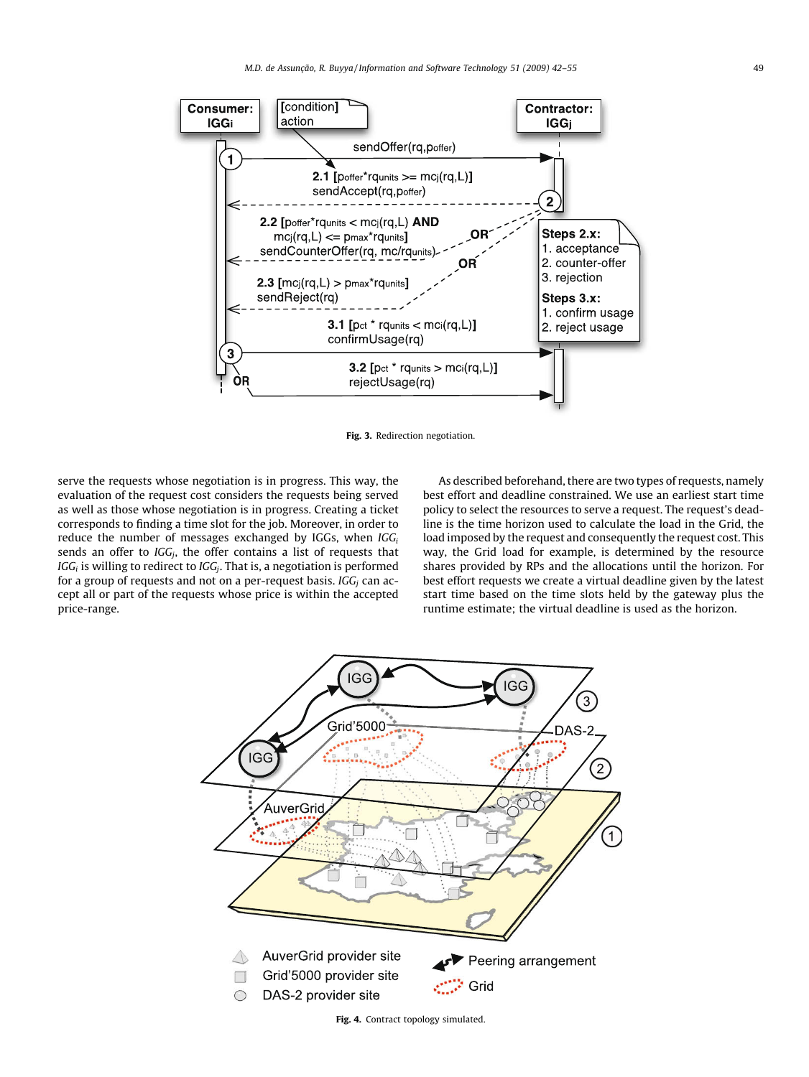<span id="page-7-0"></span>

Fig. 3. Redirection negotiation.

serve the requests whose negotiation is in progress. This way, the evaluation of the request cost considers the requests being served as well as those whose negotiation is in progress. Creating a ticket corresponds to finding a time slot for the job. Moreover, in order to reduce the number of messages exchanged by IGGs, when  $IGG_i$ sends an offer to  $IGG_i$ , the offer contains a list of requests that  $IGG_i$  is willing to redirect to  $IGG_i$ . That is, a negotiation is performed for a group of requests and not on a per-request basis.  $IGG_i$  can accept all or part of the requests whose price is within the accepted price-range.

As described beforehand, there are two types of requests, namely best effort and deadline constrained. We use an earliest start time policy to select the resources to serve a request. The request's deadline is the time horizon used to calculate the load in the Grid, the load imposed by the request and consequently the request cost. This way, the Grid load for example, is determined by the resource shares provided by RPs and the allocations until the horizon. For best effort requests we create a virtual deadline given by the latest start time based on the time slots held by the gateway plus the runtime estimate; the virtual deadline is used as the horizon.



Fig. 4. Contract topology simulated.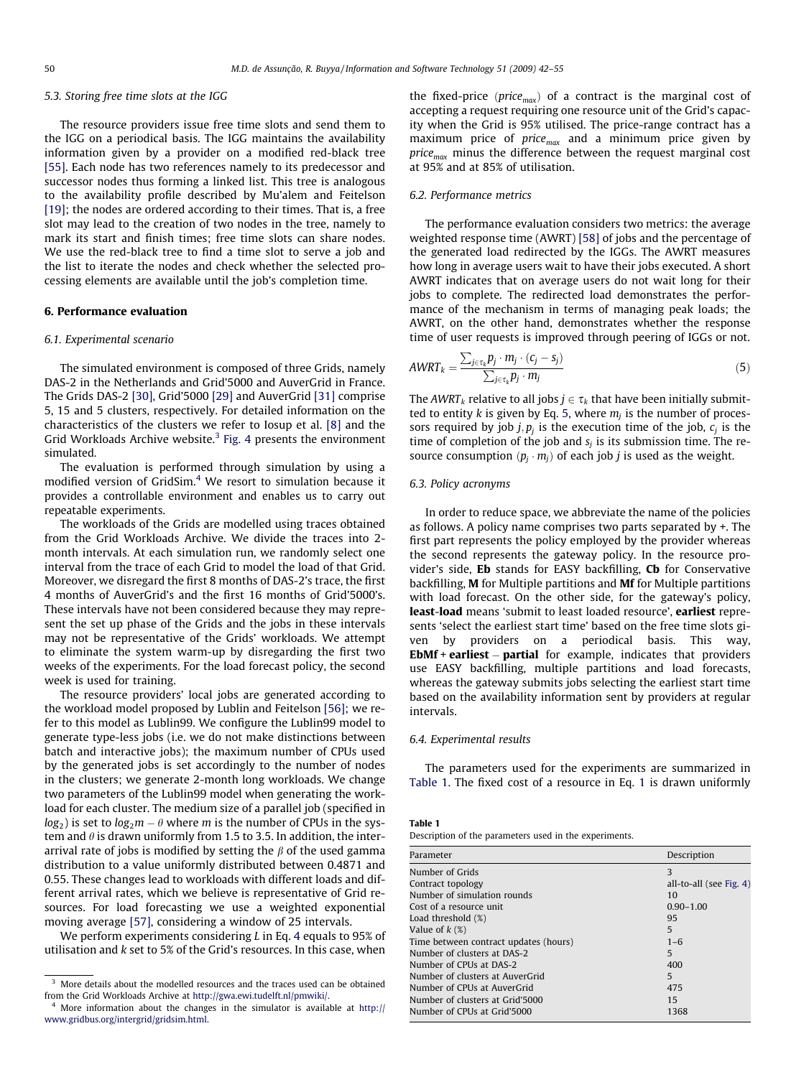#### <span id="page-8-0"></span>5.3. Storing free time slots at the IGG

The resource providers issue free time slots and send them to the IGG on a periodical basis. The IGG maintains the availability information given by a provider on a modified red-black tree [\[55\]](#page-13-0). Each node has two references namely to its predecessor and successor nodes thus forming a linked list. This tree is analogous to the availability profile described by Mu'alem and Feitelson [\[19\]](#page-12-0); the nodes are ordered according to their times. That is, a free slot may lead to the creation of two nodes in the tree, namely to mark its start and finish times; free time slots can share nodes. We use the red-black tree to find a time slot to serve a job and the list to iterate the nodes and check whether the selected processing elements are available until the job's completion time.

### 6. Performance evaluation

#### 6.1. Experimental scenario

The simulated environment is composed of three Grids, namely DAS-2 in the Netherlands and Grid'5000 and AuverGrid in France. The Grids DAS-2 [\[30\],](#page-12-0) Grid'5000 [\[29\]](#page-12-0) and AuverGrid [\[31\]](#page-12-0) comprise 5, 15 and 5 clusters, respectively. For detailed information on the characteristics of the clusters we refer to Iosup et al. [\[8\]](#page-12-0) and the Grid Workloads Archive website.<sup>3</sup> [Fig. 4](#page-7-0) presents the environment simulated.

The evaluation is performed through simulation by using a modified version of GridSim.<sup>4</sup> We resort to simulation because it provides a controllable environment and enables us to carry out repeatable experiments.

The workloads of the Grids are modelled using traces obtained from the Grid Workloads Archive. We divide the traces into 2 month intervals. At each simulation run, we randomly select one interval from the trace of each Grid to model the load of that Grid. Moreover, we disregard the first 8 months of DAS-2's trace, the first 4 months of AuverGrid's and the first 16 months of Grid'5000's. These intervals have not been considered because they may represent the set up phase of the Grids and the jobs in these intervals may not be representative of the Grids' workloads. We attempt to eliminate the system warm-up by disregarding the first two weeks of the experiments. For the load forecast policy, the second week is used for training.

The resource providers' local jobs are generated according to the workload model proposed by Lublin and Feitelson [\[56\]](#page-13-0); we refer to this model as Lublin99. We configure the Lublin99 model to generate type-less jobs (i.e. we do not make distinctions between batch and interactive jobs); the maximum number of CPUs used by the generated jobs is set accordingly to the number of nodes in the clusters; we generate 2-month long workloads. We change two parameters of the Lublin99 model when generating the workload for each cluster. The medium size of a parallel job (specified in  $log_2$ ) is set to  $log_2m - \theta$  where m is the number of CPUs in the system and  $\theta$  is drawn uniformly from 1.5 to 3.5. In addition, the interarrival rate of jobs is modified by setting the  $\beta$  of the used gamma distribution to a value uniformly distributed between 0.4871 and 0.55. These changes lead to workloads with different loads and different arrival rates, which we believe is representative of Grid resources. For load forecasting we use a weighted exponential moving average [\[57\]](#page-13-0), considering a window of 25 intervals.

We perform experiments considering L in Eq. [4](#page-6-0) equals to 95% of utilisation and k set to 5% of the Grid's resources. In this case, when the fixed-price (price<sub>max</sub>) of a contract is the marginal cost of accepting a request requiring one resource unit of the Grid's capacity when the Grid is 95% utilised. The price-range contract has a maximum price of  $price_{max}$  and a minimum price given by  $price_{max}$  minus the difference between the request marginal cost at 95% and at 85% of utilisation.

#### 6.2. Performance metrics

The performance evaluation considers two metrics: the average weighted response time (AWRT) [\[58\]](#page-13-0) of jobs and the percentage of the generated load redirected by the IGGs. The AWRT measures how long in average users wait to have their jobs executed. A short AWRT indicates that on average users do not wait long for their jobs to complete. The redirected load demonstrates the performance of the mechanism in terms of managing peak loads; the AWRT, on the other hand, demonstrates whether the response time of user requests is improved through peering of IGGs or not.

$$
AWRT_k = \frac{\sum_{j \in \tau_k} p_j \cdot m_j \cdot (c_j - s_j)}{\sum_{j \in \tau_k} p_j \cdot m_j} \tag{5}
$$

The AWRT<sub>k</sub> relative to all jobs  $j \in \tau_k$  that have been initially submitted to entity k is given by Eq. 5, where  $m_i$  is the number of processors required by job j,  $p_i$  is the execution time of the job,  $c_i$  is the time of completion of the job and  $s_i$  is its submission time. The resource consumption  $(p_i \cdot m_i)$  of each job *j* is used as the weight.

#### 6.3. Policy acronyms

In order to reduce space, we abbreviate the name of the policies as follows. A policy name comprises two parts separated by +. The first part represents the policy employed by the provider whereas the second represents the gateway policy. In the resource provider's side, Eb stands for EASY backfilling, Cb for Conservative backfilling, M for Multiple partitions and Mf for Multiple partitions with load forecast. On the other side, for the gateway's policy, least-load means 'submit to least loaded resource', earliest represents 'select the earliest start time' based on the free time slots given by providers on a periodical basis. This way,  $EbMf +$  earliest  $-$  partial for example, indicates that providers use EASY backfilling, multiple partitions and load forecasts, whereas the gateway submits jobs selecting the earliest start time based on the availability information sent by providers at regular intervals.

## 6.4. Experimental results

The parameters used for the experiments are summarized in Table 1. The fixed cost of a resource in Eq. [1](#page-5-0) is drawn uniformly

Table 1

Description of the parameters used in the experiments.

| Parameter                             | Description             |
|---------------------------------------|-------------------------|
| Number of Grids                       | 3                       |
| Contract topology                     | all-to-all (see Fig. 4) |
| Number of simulation rounds           | 10                      |
| Cost of a resource unit               | $0.90 - 1.00$           |
| Load threshold (%)                    | 95                      |
| Value of $k$ (%)                      | 5                       |
| Time between contract updates (hours) | $1 - 6$                 |
| Number of clusters at DAS-2           | 5                       |
| Number of CPUs at DAS-2               | 400                     |
| Number of clusters at AuverGrid       | 5                       |
| Number of CPUs at AuverGrid           | 475                     |
| Number of clusters at Grid'5000       | 15                      |
| Number of CPUs at Grid'5000           | 1368                    |

<sup>&</sup>lt;sup>3</sup> More details about the modelled resources and the traces used can be obtained from the Grid Workloads Archive at <http://gwa.ewi.tudelft.nl/pmwiki/>.

<sup>&</sup>lt;sup>4</sup> More information about the changes in the simulator is available at [http://](http://www.gridbus.org/intergrid/gridsim.html) [www.gridbus.org/intergrid/gridsim.html](http://www.gridbus.org/intergrid/gridsim.html).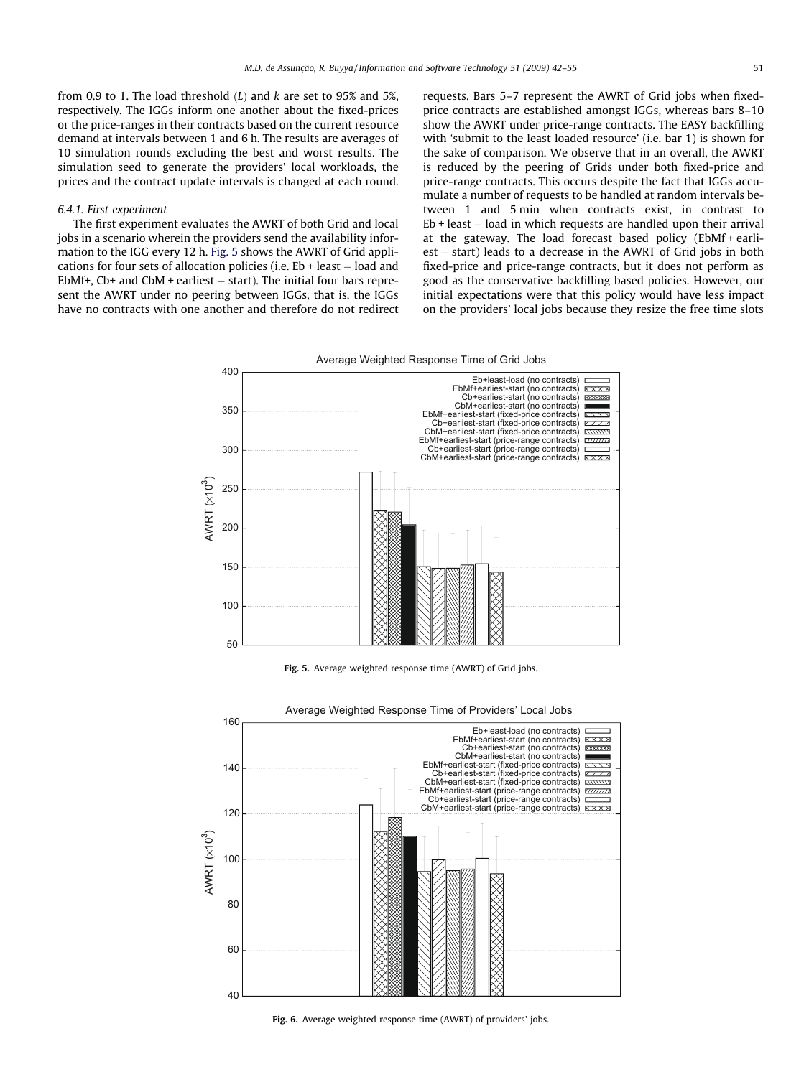<span id="page-9-0"></span>from 0.9 to 1. The load threshold  $(L)$  and k are set to 95% and 5%. respectively. The IGGs inform one another about the fixed-prices or the price-ranges in their contracts based on the current resource demand at intervals between 1 and 6 h. The results are averages of 10 simulation rounds excluding the best and worst results. The simulation seed to generate the providers' local workloads, the prices and the contract update intervals is changed at each round.

#### 6.4.1. First experiment

The first experiment evaluates the AWRT of both Grid and local jobs in a scenario wherein the providers send the availability information to the IGG every 12 h. Fig. 5 shows the AWRT of Grid applications for four sets of allocation policies (i.e.  $Eb + least - load$  and EbMf+,  $Cb+$  and  $CbM+$  earliest  $-$  start). The initial four bars represent the AWRT under no peering between IGGs, that is, the IGGs have no contracts with one another and therefore do not redirect requests. Bars 5–7 represent the AWRT of Grid jobs when fixedprice contracts are established amongst IGGs, whereas bars 8–10 show the AWRT under price-range contracts. The EASY backfilling with 'submit to the least loaded resource' (i.e. bar 1) is shown for the sake of comparison. We observe that in an overall, the AWRT is reduced by the peering of Grids under both fixed-price and price-range contracts. This occurs despite the fact that IGGs accumulate a number of requests to be handled at random intervals between 1 and 5 min when contracts exist, in contrast to  $Eb +$  least  $-$  load in which requests are handled upon their arrival at the gateway. The load forecast based policy (EbMf + earli $est - start$ ) leads to a decrease in the AWRT of Grid jobs in both fixed-price and price-range contracts, but it does not perform as good as the conservative backfilling based policies. However, our initial expectations were that this policy would have less impact on the providers' local jobs because they resize the free time slots



Fig. 5. Average weighted response time (AWRT) of Grid jobs.



#### Average Weighted Response Time of Providers' Local Jobs

Fig. 6. Average weighted response time (AWRT) of providers' jobs.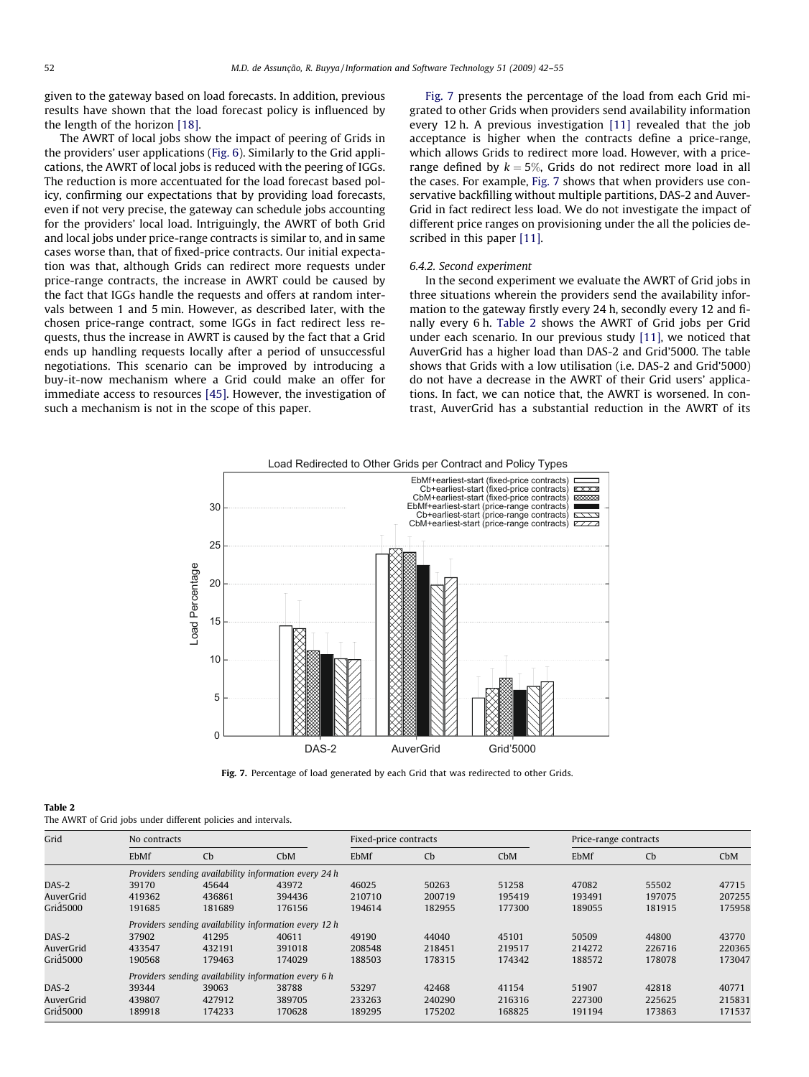<span id="page-10-0"></span>given to the gateway based on load forecasts. In addition, previous results have shown that the load forecast policy is influenced by the length of the horizon [\[18\]](#page-12-0).

The AWRT of local jobs show the impact of peering of Grids in the providers' user applications [\(Fig. 6\)](#page-9-0). Similarly to the Grid applications, the AWRT of local jobs is reduced with the peering of IGGs. The reduction is more accentuated for the load forecast based policy, confirming our expectations that by providing load forecasts, even if not very precise, the gateway can schedule jobs accounting for the providers' local load. Intriguingly, the AWRT of both Grid and local jobs under price-range contracts is similar to, and in same cases worse than, that of fixed-price contracts. Our initial expectation was that, although Grids can redirect more requests under price-range contracts, the increase in AWRT could be caused by the fact that IGGs handle the requests and offers at random intervals between 1 and 5 min. However, as described later, with the chosen price-range contract, some IGGs in fact redirect less requests, thus the increase in AWRT is caused by the fact that a Grid ends up handling requests locally after a period of unsuccessful negotiations. This scenario can be improved by introducing a buy-it-now mechanism where a Grid could make an offer for immediate access to resources [\[45\].](#page-13-0) However, the investigation of such a mechanism is not in the scope of this paper.

Fig. 7 presents the percentage of the load from each Grid migrated to other Grids when providers send availability information every 12 h. A previous investigation [\[11\]](#page-12-0) revealed that the job acceptance is higher when the contracts define a price-range, which allows Grids to redirect more load. However, with a pricerange defined by  $k = 5\%$ , Grids do not redirect more load in all the cases. For example, Fig. 7 shows that when providers use conservative backfilling without multiple partitions, DAS-2 and Auver-Grid in fact redirect less load. We do not investigate the impact of different price ranges on provisioning under the all the policies described in this paper [\[11\]](#page-12-0).

# 6.4.2. Second experiment

In the second experiment we evaluate the AWRT of Grid jobs in three situations wherein the providers send the availability information to the gateway firstly every 24 h, secondly every 12 and finally every 6 h. Table 2 shows the AWRT of Grid jobs per Grid under each scenario. In our previous study [\[11\],](#page-12-0) we noticed that AuverGrid has a higher load than DAS-2 and Grid'5000. The table shows that Grids with a low utilisation (i.e. DAS-2 and Grid'5000) do not have a decrease in the AWRT of their Grid users' applications. In fact, we can notice that, the AWRT is worsened. In contrast, AuverGrid has a substantial reduction in the AWRT of its



Fig. 7. Percentage of load generated by each Grid that was redirected to other Grids.

# Table 2

The AWRT of Grid jobs under different policies and intervals.

| Grid      | No contracts |                                                       |        | Fixed-price contracts |        |        | Price-range contracts |              |        |
|-----------|--------------|-------------------------------------------------------|--------|-----------------------|--------|--------|-----------------------|--------------|--------|
|           | EbMf         | Cb                                                    | CbM    | EbMf                  | Cb     | CbM    | EbMf                  | $\mathsf{C}$ | CbM    |
|           |              | Providers sending availability information every 24 h |        |                       |        |        |                       |              |        |
| DAS-2     | 39170        | 45644                                                 | 43972  | 46025                 | 50263  | 51258  | 47082                 | 55502        | 47715  |
| AuverGrid | 419362       | 436861                                                | 394436 | 210710                | 200719 | 195419 | 193491                | 197075       | 207255 |
| Griá5000  | 191685       | 181689                                                | 176156 | 194614                | 182955 | 177300 | 189055                | 181915       | 175958 |
|           |              | Providers sending availability information every 12 h |        |                       |        |        |                       |              |        |
| DAS-2     | 37902        | 41295                                                 | 40611  | 49190                 | 44040  | 45101  | 50509                 | 44800        | 43770  |
| AuverGrid | 433547       | 432191                                                | 391018 | 208548                | 218451 | 219517 | 214272                | 226716       | 220365 |
| Grid5000  | 190568       | 179463                                                | 174029 | 188503                | 178315 | 174342 | 188572                | 178078       | 173047 |
|           |              | Providers sending availability information every 6 h  |        |                       |        |        |                       |              |        |
| DAS-2     | 39344        | 39063                                                 | 38788  | 53297                 | 42468  | 41154  | 51907                 | 42818        | 40771  |
| AuverGrid | 439807       | 427912                                                | 389705 | 233263                | 240290 | 216316 | 227300                | 225625       | 215831 |
| Grid5000  | 189918       | 174233                                                | 170628 | 189295                | 175202 | 168825 | 191194                | 173863       | 171537 |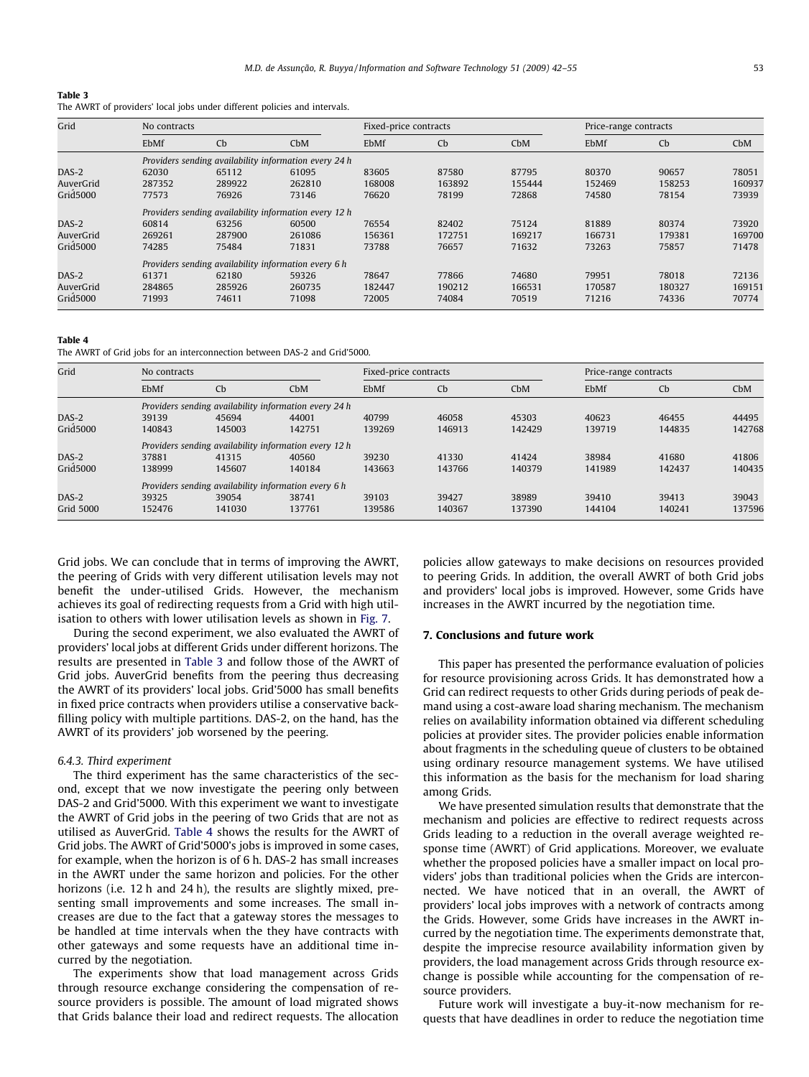#### <span id="page-11-0"></span>Table 3

|  | The AWRT of providers' local jobs under different policies and intervals. |  |  |  |  |
|--|---------------------------------------------------------------------------|--|--|--|--|
|  |                                                                           |  |  |  |  |

| Grid                 | No contracts |                                                       |        | Fixed-price contracts |        |        | Price-range contracts |        |        |
|----------------------|--------------|-------------------------------------------------------|--------|-----------------------|--------|--------|-----------------------|--------|--------|
|                      | EbMf         | Cb                                                    | CbM    | EbMf                  | Cb     | CbM    | EbMf                  | Cb     | CbM    |
|                      |              | Providers sending availability information every 24 h |        |                       |        |        |                       |        |        |
| DAS-2                | 62030        | 65112                                                 | 61095  | 83605                 | 87580  | 87795  | 80370                 | 90657  | 78051  |
| AuverGrid            | 287352       | 289922                                                | 262810 | 168008                | 163892 | 155444 | 152469                | 158253 | 160937 |
| Grid <sub>5000</sub> | 77573        | 76926                                                 | 73146  | 76620                 | 78199  | 72868  | 74580                 | 78154  | 73939  |
|                      |              | Providers sending availability information every 12 h |        |                       |        |        |                       |        |        |
| DAS-2                | 60814        | 63256                                                 | 60500  | 76554                 | 82402  | 75124  | 81889                 | 80374  | 73920  |
| AuverGrid            | 269261       | 287900                                                | 261086 | 156361                | 172751 | 169217 | 166731                | 179381 | 169700 |
| Grid <sub>5000</sub> | 74285        | 75484                                                 | 71831  | 73788                 | 76657  | 71632  | 73263                 | 75857  | 71478  |
|                      |              | Providers sending availability information every 6 h  |        |                       |        |        |                       |        |        |
| DAS-2                | 61371        | 62180                                                 | 59326  | 78647                 | 77866  | 74680  | 79951                 | 78018  | 72136  |
| AuverGrid            | 284865       | 285926                                                | 260735 | 182447                | 190212 | 166531 | 170587                | 180327 | 169151 |
| Grid5000             | 71993        | 74611                                                 | 71098  | 72005                 | 74084  | 70519  | 71216                 | 74336  | 70774  |

#### Table 4

The AWRT of Grid jobs for an interconnection between DAS-2 and Grid'5000.

| Grid      | No contracts                                          |                                                       |        | Fixed-price contracts |        | Price-range contracts |        |        |        |
|-----------|-------------------------------------------------------|-------------------------------------------------------|--------|-----------------------|--------|-----------------------|--------|--------|--------|
|           | EbMf                                                  | Cb                                                    | CbM    | EbMf                  | Cb     | CbM                   | EbMf   | Cb     | CbM    |
|           | Providers sending availability information every 24 h |                                                       |        |                       |        |                       |        |        |        |
| DAS-2     | 39139                                                 | 45694                                                 | 44001  | 40799                 | 46058  | 45303                 | 40623  | 46455  | 44495  |
| Grid5000  | 140843                                                | 145003                                                | 142751 | 139269                | 146913 | 142429                | 139719 | 144835 | 142768 |
|           |                                                       | Providers sending availability information every 12 h |        |                       |        |                       |        |        |        |
| DAS-2     | 37881                                                 | 41315                                                 | 40560  | 39230                 | 41330  | 41424                 | 38984  | 41680  | 41806  |
| Grid5000  | 138999                                                | 145607                                                | 140184 | 143663                | 143766 | 140379                | 141989 | 142437 | 140435 |
|           |                                                       | Providers sending availability information every 6 h  |        |                       |        |                       |        |        |        |
| DAS-2     | 39325                                                 | 39054                                                 | 38741  | 39103                 | 39427  | 38989                 | 39410  | 39413  | 39043  |
| Grid 5000 | 152476                                                | 141030                                                | 137761 | 139586                | 140367 | 137390                | 144104 | 140241 | 137596 |

Grid jobs. We can conclude that in terms of improving the AWRT, the peering of Grids with very different utilisation levels may not benefit the under-utilised Grids. However, the mechanism achieves its goal of redirecting requests from a Grid with high utilisation to others with lower utilisation levels as shown in [Fig. 7.](#page-10-0)

During the second experiment, we also evaluated the AWRT of providers' local jobs at different Grids under different horizons. The results are presented in Table 3 and follow those of the AWRT of Grid jobs. AuverGrid benefits from the peering thus decreasing the AWRT of its providers' local jobs. Grid'5000 has small benefits in fixed price contracts when providers utilise a conservative backfilling policy with multiple partitions. DAS-2, on the hand, has the AWRT of its providers' job worsened by the peering.

## 6.4.3. Third experiment

The third experiment has the same characteristics of the second, except that we now investigate the peering only between DAS-2 and Grid'5000. With this experiment we want to investigate the AWRT of Grid jobs in the peering of two Grids that are not as utilised as AuverGrid. Table 4 shows the results for the AWRT of Grid jobs. The AWRT of Grid'5000's jobs is improved in some cases, for example, when the horizon is of 6 h. DAS-2 has small increases in the AWRT under the same horizon and policies. For the other horizons (i.e. 12 h and 24 h), the results are slightly mixed, presenting small improvements and some increases. The small increases are due to the fact that a gateway stores the messages to be handled at time intervals when the they have contracts with other gateways and some requests have an additional time incurred by the negotiation.

The experiments show that load management across Grids through resource exchange considering the compensation of resource providers is possible. The amount of load migrated shows that Grids balance their load and redirect requests. The allocation policies allow gateways to make decisions on resources provided to peering Grids. In addition, the overall AWRT of both Grid jobs and providers' local jobs is improved. However, some Grids have increases in the AWRT incurred by the negotiation time.

#### 7. Conclusions and future work

This paper has presented the performance evaluation of policies for resource provisioning across Grids. It has demonstrated how a Grid can redirect requests to other Grids during periods of peak demand using a cost-aware load sharing mechanism. The mechanism relies on availability information obtained via different scheduling policies at provider sites. The provider policies enable information about fragments in the scheduling queue of clusters to be obtained using ordinary resource management systems. We have utilised this information as the basis for the mechanism for load sharing among Grids.

We have presented simulation results that demonstrate that the mechanism and policies are effective to redirect requests across Grids leading to a reduction in the overall average weighted response time (AWRT) of Grid applications. Moreover, we evaluate whether the proposed policies have a smaller impact on local providers' jobs than traditional policies when the Grids are interconnected. We have noticed that in an overall, the AWRT of providers' local jobs improves with a network of contracts among the Grids. However, some Grids have increases in the AWRT incurred by the negotiation time. The experiments demonstrate that, despite the imprecise resource availability information given by providers, the load management across Grids through resource exchange is possible while accounting for the compensation of resource providers.

Future work will investigate a buy-it-now mechanism for requests that have deadlines in order to reduce the negotiation time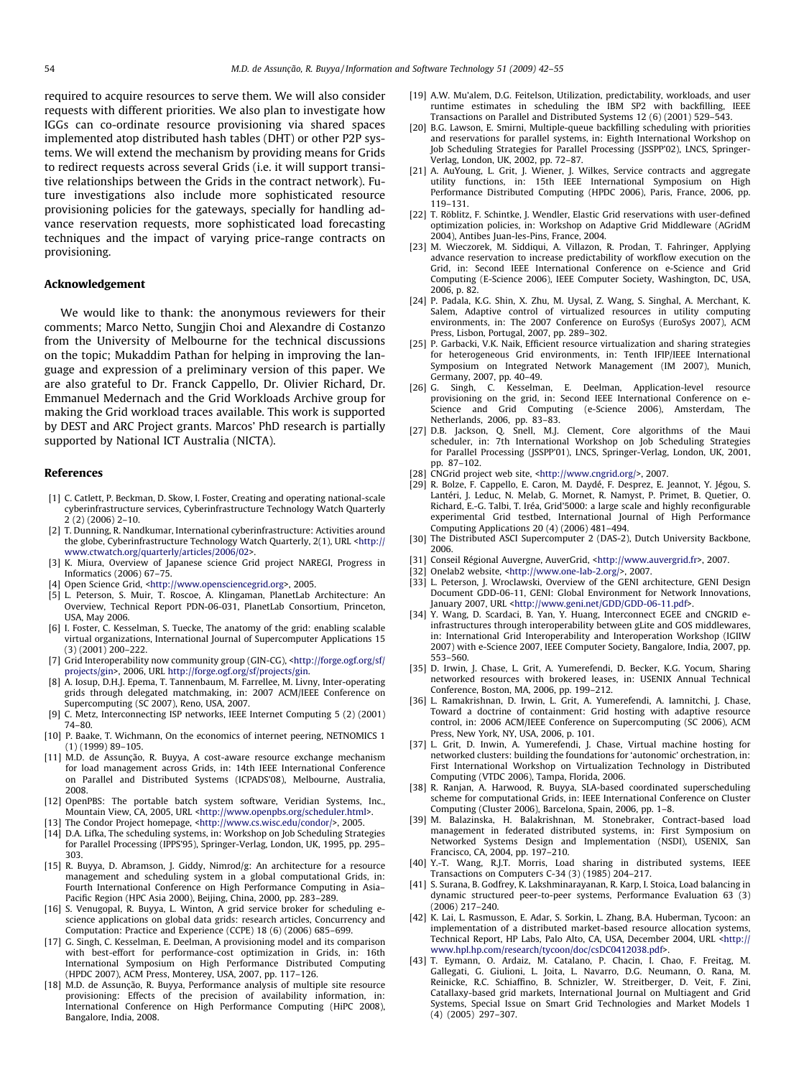<span id="page-12-0"></span>required to acquire resources to serve them. We will also consider requests with different priorities. We also plan to investigate how IGGs can co-ordinate resource provisioning via shared spaces implemented atop distributed hash tables (DHT) or other P2P systems. We will extend the mechanism by providing means for Grids to redirect requests across several Grids (i.e. it will support transitive relationships between the Grids in the contract network). Future investigations also include more sophisticated resource provisioning policies for the gateways, specially for handling advance reservation requests, more sophisticated load forecasting techniques and the impact of varying price-range contracts on provisioning.

#### Acknowledgement

We would like to thank: the anonymous reviewers for their comments; Marco Netto, Sungjin Choi and Alexandre di Costanzo from the University of Melbourne for the technical discussions on the topic; Mukaddim Pathan for helping in improving the language and expression of a preliminary version of this paper. We are also grateful to Dr. Franck Cappello, Dr. Olivier Richard, Dr. Emmanuel Medernach and the Grid Workloads Archive group for making the Grid workload traces available. This work is supported by DEST and ARC Project grants. Marcos' PhD research is partially supported by National ICT Australia (NICTA).

#### References

- [1] C. Catlett, P. Beckman, D. Skow, I. Foster, Creating and operating national-scale cyberinfrastructure services, Cyberinfrastructure Technology Watch Quarterly 2 (2) (2006) 2–10.
- [2] T. Dunning, R. Nandkumar, International cyberinfrastructure: Activities around the globe, Cyberinfrastructure Technology Watch Quarterly, 2(1), URL [<http://](http://www.ctwatch.org/quarterly/articles/2006/02) [www.ctwatch.org/quarterly/articles/2006/02](http://www.ctwatch.org/quarterly/articles/2006/02)>.
- [3] K. Miura, Overview of Japanese science Grid project NAREGI, Progress in Informatics (2006) 67–75.
- [4] Open Science Grid, <<http://www.opensciencegrid.org>>, 2005.
- [5] L. Peterson, S. Muir, T. Roscoe, A. Klingaman, PlanetLab Architecture: An Overview, Technical Report PDN-06-031, PlanetLab Consortium, Princeton, USA, May 2006.
- [6] I. Foster, C. Kesselman, S. Tuecke, The anatomy of the grid: enabling scalable virtual organizations, International Journal of Supercomputer Applications 15 (3) (2001) 200–222.
- [7] Grid Interoperability now community group (GIN-CG), [<http://forge.ogf.org/sf/](http://forge.ogf.org/sf/projects/gin) [projects/gin>](http://forge.ogf.org/sf/projects/gin), 2006, URL [http://forge.ogf.org/sf/projects/gin.](http://forge.ogf.org/sf/projects/gin)
- [8] A. Iosup, D.H.J. Epema, T. Tannenbaum, M. Farrellee, M. Livny, Inter-operating grids through delegated matchmaking, in: 2007 ACM/IEEE Conference on Supercomputing (SC 2007), Reno, USA, 2007.
- [9] C. Metz, Interconnecting ISP networks, IEEE Internet Computing 5 (2) (2001) 74–80.
- [10] P. Baake, T. Wichmann, On the economics of internet peering, NETNOMICS 1 (1) (1999) 89–105.
- [11] M.D. de Assunção, R. Buyya, A cost-aware resource exchange mechanism for load management across Grids, in: 14th IEEE International Conference on Parallel and Distributed Systems (ICPADS'08), Melbourne, Australia, 2008.
- [12] OpenPBS: The portable batch system software, Veridian Systems, Inc., Mountain View, CA, 2005, URL [<http://www.openpbs.org/scheduler.html>](http://www.openpbs.org/scheduler.html).
- [13] The Condor Project homepage, [<http://www.cs.wisc.edu/condor/>](http://www.cs.wisc.edu/condor/), 2005. [14] D.A. Lifka, The scheduling systems, in: Workshop on Job Scheduling Strategies
- for Parallel Processing (IPPS'95), Springer-Verlag, London, UK, 1995, pp. 295– 303.
- [15] R. Buyya, D. Abramson, J. Giddy, Nimrod/g: An architecture for a resource management and scheduling system in a global computational Grids, in: Fourth International Conference on High Performance Computing in Asia– Pacific Region (HPC Asia 2000), Beijing, China, 2000, pp. 283–289.
- [16] S. Venugopal, R. Buyya, L. Winton, A grid service broker for scheduling escience applications on global data grids: research articles, Concurrency and Computation: Practice and Experience (CCPE) 18 (6) (2006) 685–699.
- [17] G. Singh, C. Kesselman, E. Deelman, A provisioning model and its comparison with best-effort for performance-cost optimization in Grids, in: 16th International Symposium on High Performance Distributed Computing (HPDC 2007), ACM Press, Monterey, USA, 2007, pp. 117–126.
- [18] M.D. de Assunção, R. Buyya, Performance analysis of multiple site resource provisioning: Effects of the precision of availability information, in: International Conference on High Performance Computing (HiPC 2008), Bangalore, India, 2008.
- [19] A.W. Mu'alem, D.G. Feitelson, Utilization, predictability, workloads, and user runtime estimates in scheduling the IBM SP2 with backfilling, IEEE Transactions on Parallel and Distributed Systems 12 (6) (2001) 529–543.
- [20] B.G. Lawson, E. Smirni, Multiple-queue backfilling scheduling with priorities and reservations for parallel systems, in: Eighth International Workshop on Job Scheduling Strategies for Parallel Processing (JSSPP'02), LNCS, Springer-Verlag, London, UK, 2002, pp. 72–87.
- [21] A. AuYoung, L. Grit, J. Wiener, J. Wilkes, Service contracts and aggregate utility functions, in: 15th IEEE International Symposium on High Performance Distributed Computing (HPDC 2006), Paris, France, 2006, pp. 119–131.
- [22] T. Röblitz, F. Schintke, J. Wendler, Elastic Grid reservations with user-defined optimization policies, in: Workshop on Adaptive Grid Middleware (AGridM 2004), Antibes Juan-les-Pins, France, 2004.
- [23] M. Wieczorek, M. Siddiqui, A. Villazon, R. Prodan, T. Fahringer, Applying advance reservation to increase predictability of workflow execution on the Grid, in: Second IEEE International Conference on e-Science and Grid Computing (E-Science 2006), IEEE Computer Society, Washington, DC, USA, 2006, p. 82.
- [24] P. Padala, K.G. Shin, X. Zhu, M. Uysal, Z. Wang, S. Singhal, A. Merchant, K. Salem, Adaptive control of virtualized resources in utility computing environments, in: The 2007 Conference on EuroSys (EuroSys 2007), ACM Press, Lisbon, Portugal, 2007, pp. 289–302.
- [25] P. Garbacki, V.K. Naik, Efficient resource virtualization and sharing strategies for heterogeneous Grid environments, in: Tenth IFIP/IEEE International Symposium on Integrated Network Management (IM 2007), Munich, Germany, 2007, pp. 40–49.<br>[26] G. Singh, C. Kesselman,
- E. Deelman, Application-level resource provisioning on the grid, in: Second IEEE International Conference on e-Science and Grid Computing (e-Science 2006), Amsterdam, The Netherlands, 2006, pp. 83–83.
- [27] D.B. Jackson, Q. Snell, M.J. Clement, Core algorithms of the Maui scheduler, in: 7th International Workshop on Job Scheduling Strategies for Parallel Processing (JSSPP'01), LNCS, Springer-Verlag, London, UK, 2001, pp. 87–102.
- [28] CNGrid project web site, <[http://www.cngrid.org/>](http://www.cngrid.org/), 2007.
- [29] R. Bolze, F. Cappello, E. Caron, M. Daydé, F. Desprez, E. Jeannot, Y. Jégou, S. Lantéri, J. Leduc, N. Melab, G. Mornet, R. Namyst, P. Primet, B. Quetier, O. Richard, E.-G. Talbi, T. Iréa, Grid'5000: a large scale and highly reconfigurable experimental Grid testbed, International Journal of High Performance Computing Applications 20 (4) (2006) 481–494.
- [30] The Distributed ASCI Supercomputer 2 (DAS-2), Dutch University Backbone, 2006.
- [31] Conseil Régional Auvergne, AuverGrid, <<http://www.auvergrid.fr>>, 2007.
- [32] Onelab2 website, [<http://www.one-lab-2.org/](http://www.one-lab-2.org/)>, 2007.
- [33] L. Peterson, J. Wroclawski, Overview of the GENI architecture, GENI Design Document GDD-06-11, GENI: Global Environment for Network Innovations, January 2007, URL <[http://www.geni.net/GDD/GDD-06-11.pdf>](http://www.geni.net/GDD/GDD-06-11.pdf).
- [34] Y. Wang, D. Scardaci, B. Yan, Y. Huang, Interconnect EGEE and CNGRID einfrastructures through interoperability between gLite and GOS middlewares, in: International Grid Interoperability and Interoperation Workshop (IGIIW 2007) with e-Science 2007, IEEE Computer Society, Bangalore, India, 2007, pp. 553–560.
- [35] D. Irwin, J. Chase, L. Grit, A. Yumerefendi, D. Becker, K.G. Yocum, Sharing networked resources with brokered leases, in: USENIX Annual Technical Conference, Boston, MA, 2006, pp. 199–212. [36] L. Ramakrishnan, D. Irwin, L. Grit, A. Yumerefendi, A. Iamnitchi, J. Chase,
- Toward a doctrine of containment: Grid hosting with adaptive resource control, in: 2006 ACM/IEEE Conference on Supercomputing (SC 2006), ACM Press, New York, NY, USA, 2006, p. 101.
- [37] L. Grit, D. Inwin, A. Yumerefendi, J. Chase, Virtual machine hosting for networked clusters: building the foundations for 'autonomic' orchestration, in: First International Workshop on Virtualization Technology in Distributed Computing (VTDC 2006), Tampa, Florida, 2006.
- [38] R. Ranjan, A. Harwood, R. Buyya, SLA-based coordinated superscheduling scheme for computational Grids, in: IEEE International Conference on Cluster Computing (Cluster 2006), Barcelona, Spain, 2006, pp. 1–8.
- [39] M. Balazinska, H. Balakrishnan, M. Stonebraker, Contract-based load management in federated distributed systems, in: First Symposium on Networked Systems Design and Implementation (NSDI), USENIX, San Francisco, CA, 2004, pp. 197–210.
- [40] Y.-T. Wang, R.J.T. Morris, Load sharing in distributed systems, IEEE Transactions on Computers C-34 (3) (1985) 204–217.
- [41] S. Surana, B. Godfrey, K. Lakshminarayanan, R. Karp, I. Stoica, Load balancing in dynamic structured peer-to-peer systems, Performance Evaluation 63 (3) (2006) 217–240.
- [42] K. Lai, L. Rasmusson, E. Adar, S. Sorkin, L. Zhang, B.A. Huberman, Tycoon: an implementation of a distributed market-based resource allocation systems, Technical Report, HP Labs, Palo Alto, CA, USA, December 2004, URL [<http://](http://www.hpl.hp.com/research/tycoon/doc/csDC0412038.pdf) [www.hpl.hp.com/research/tycoon/doc/csDC0412038.pdf](http://www.hpl.hp.com/research/tycoon/doc/csDC0412038.pdf)>.
- [43] T. Eymann, O. Ardaiz, M. Catalano, P. Chacin, I. Chao, F. Freitag, M. Gallegati, G. Giulioni, L. Joita, L. Navarro, D.G. Neumann, O. Rana, M. Reinicke, R.C. Schiaffino, B. Schnizler, W. Streitberger, D. Veit, F. Zini, Catallaxy-based grid markets, International Journal on Multiagent and Grid Systems, Special Issue on Smart Grid Technologies and Market Models 1 (4) (2005) 297–307.